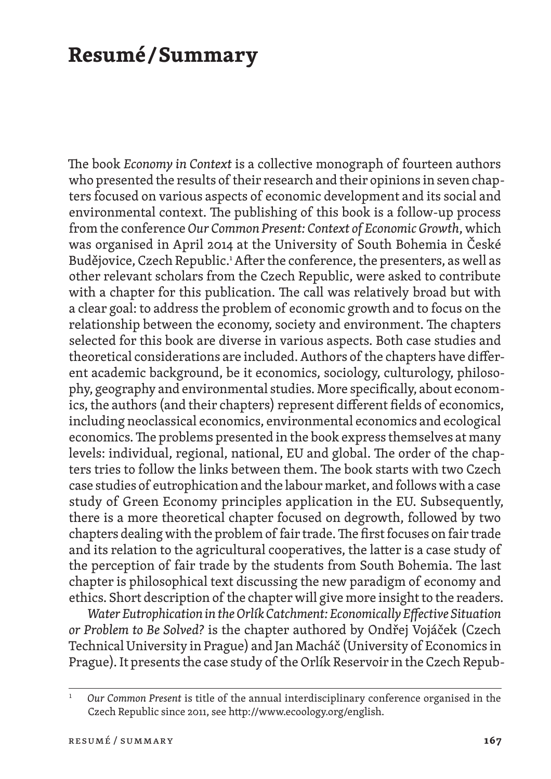## **Resumé / Summary**

The book *Economy in Context* is a collective monograph of fourteen authors who presented the results of their research and their opinions in seven chapters focused on various aspects of economic development and its social and environmental context. The publishing of this book is a follow-up process from the conference *Our Common Present: Context of Economic Growth*, which was organised in April 2014 at the University of South Bohemia in České Budějovice, Czech Republic.<sup>1</sup> After the conference, the presenters, as well as other relevant scholars from the Czech Republic, were asked to contribute with a chapter for this publication. The call was relatively broad but with a clear goal: to address the problem of economic growth and to focus on the relationship between the economy, society and environment. The chapters selected for this book are diverse in various aspects. Both case studies and theoretical considerations are included. Authors of the chapters have different academic background, be it economics, sociology, culturology, philosophy, geography and environmental studies. More specifically, about economics, the authors (and their chapters) represent different fields of economics, including neoclassical economics, environmental economics and ecological economics. The problems presented in the book express themselves at many levels: individual, regional, national, EU and global. The order of the chapters tries to follow the links between them. The book starts with two Czech case studies of eutrophication and the labour market, and follows with a case study of Green Economy principles application in the EU. Subsequently, there is a more theoretical chapter focused on degrowth, followed by two chapters dealing with the problem of fair trade. The first focuses on fair trade and its relation to the agricultural cooperatives, the latter is a case study of the perception of fair trade by the students from South Bohemia. The last chapter is philosophical text discussing the new paradigm of economy and ethics. Short description of the chapter will give more insight to the readers.

*Water Eutrophication in the Orlík Catchment: Economically Effective Situation or Problem to Be Solved?* is the chapter authored by Ondřej Vojáček (Czech Technical University in Prague) and Jan Macháč (University of Economics in Prague). It presents the case study of the Orlík Reservoir in the Czech Repub-

<sup>1</sup> *Our Common Present* is title of the annual interdisciplinary conference organised in the Czech Republic since 2011, see http://www.ecoology.org/english.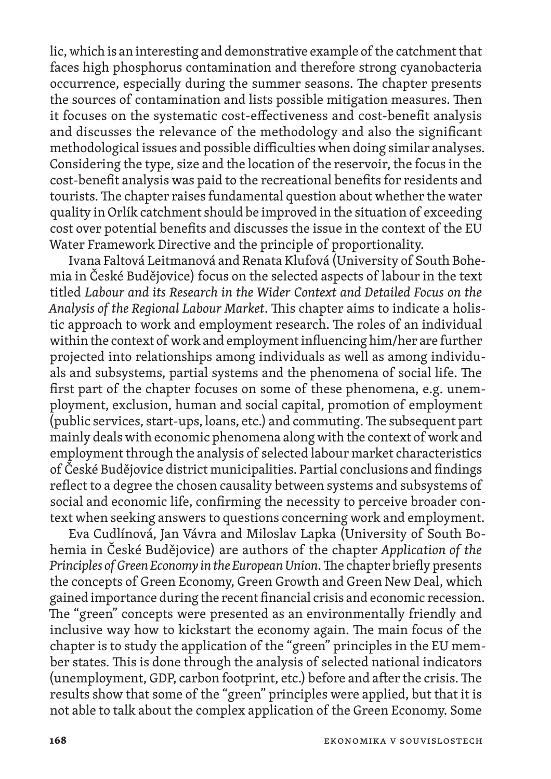lic, which is an interesting and demonstrative example of the catchment that faces high phosphorus contamination and therefore strong cyanobacteria occurrence, especially during the summer seasons. The chapter presents the sources of contamination and lists possible mitigation measures. Then it focuses on the systematic cost -effectiveness and cost -benefit analysis and discusses the relevance of the methodology and also the significant methodological issues and possible difficulties when doing similar analyses. Considering the type, size and the location of the reservoir, the focus in the cost -benefit analysis was paid to the recreational benefits for residents and tourists. The chapter raises fundamental question about whether the water quality in Orlík catchment should be improved in the situation of exceeding cost over potential benefits and discusses the issue in the context of the EU Water Framework Directive and the principle of proportionality.

Ivana Faltová Leitmanová and Renata Klufová (University of South Bohemia in České Budějovice) focus on the selected aspects of labour in the text titled *Labour and its Research in the Wider Context and Detailed Focus on the*  Analysis of the Regional Labour Market. This chapter aims to indicate a holistic approach to work and employment research. The roles of an individual within the context of work and employment influencing him/her are further projected into relationships among individuals as well as among individuals and subsystems, partial systems and the phenomena of social life. The first part of the chapter focuses on some of these phenomena, e.g. unemployment, exclusion, human and social capital, promotion of employment (public services, start-ups, loans, etc.) and commuting. The subsequent part mainly deals with economic phenomena along with the context of work and employment through the analysis of selected labour market characteristics of České Budějovice district municipalities. Partial conclusions and findings reflect to a degree the chosen causality between systems and subsystems of social and economic life, confirming the necessity to perceive broader context when seeking answers to questions concerning work and employment.

Eva Cudlínová, Jan Vávra and Miloslav Lapka (University of South Bohemia in České Budějovice) are authors of the chapter *Application of the Principles of Green Economy in the European Union. The chapter briefly presents* the concepts of Green Economy, Green Growth and Green New Deal, which gained importance during the recent financial crisis and economic recession. The "green" concepts were presented as an environmentally friendly and inclusive way how to kickstart the economy again. The main focus of the chapter is to study the application of the "green" principles in the EU member states. This is done through the analysis of selected national indicators (unemployment, GDP, carbon footprint, etc.) before and after the crisis. The results show that some of the "green" principles were applied, but that it is not able to talk about the complex application of the Green Economy. Some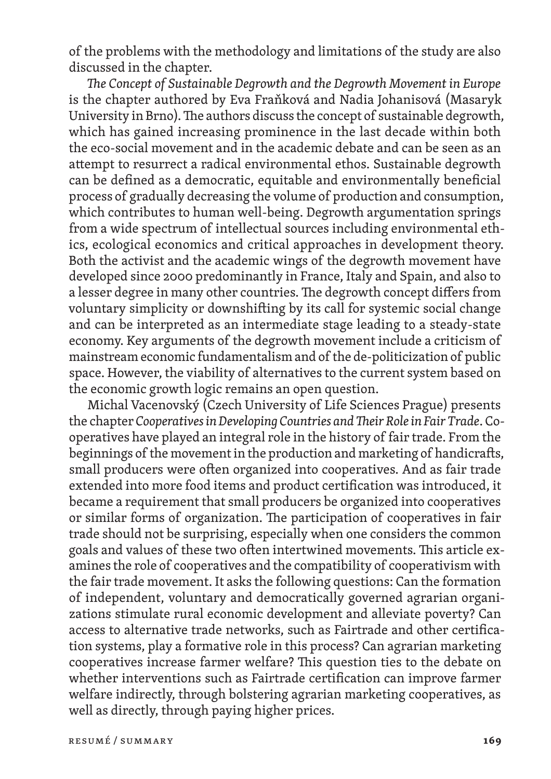of the problems with the methodology and limitations of the study are also discussed in the chapter.

The Concept of Sustainable Degrowth and the Degrowth Movement in Europe is the chapter authored by Eva Fraňková and Nadia Johanisová (Masaryk University in Brno). The authors discuss the concept of sustainable degrowth, which has gained increasing prominence in the last decade within both the eco -social movement and in the academic debate and can be seen as an attempt to resurrect a radical environmental ethos. Sustainable degrowth can be defined as a democratic, equitable and environmentally beneficial process of gradually decreasing the volume of production and consumption, which contributes to human well-being. Degrowth argumentation springs from a wide spectrum of intellectual sources including environmental ethics, ecological economics and critical approaches in development theory. Both the activist and the academic wings of the degrowth movement have developed since 2000 predominantly in France, Italy and Spain, and also to a lesser degree in many other countries. Me degrowth concept differs from voluntary simplicity or downshifting by its call for systemic social change and can be interpreted as an intermediate stage leading to a steady -state economy. Key arguments of the degrowth movement include a criticism of mainstream economic fundamentalism and of the de -politicization of public space. However, the viability of alternatives to the current system based on the economic growth logic remains an open question.

Michal Vacenovský (Czech University of Life Sciences Prague) presents the chapter *Cooperatives in Developing Countries and Their Role in Fair Trade.* Cooperatives have played an integral role in the history of fair trade. From the beginnings of the movement in the production and marketing of handicrafts, small producers were often organized into cooperatives. And as fair trade extended into more food items and product certification was introduced, it became a requirement that small producers be organized into cooperatives or similar forms of organization. Me participation of cooperatives in fair trade should not be surprising, especially when one considers the common goals and values of these two often intertwined movements. This article examines the role of cooperatives and the compatibility of cooperativism with the fair trade movement. It asks the following questions: Can the formation of independent, voluntary and democratically governed agrarian organizations stimulate rural economic development and alleviate poverty? Can access to alternative trade networks, such as Fairtrade and other certification systems, play a formative role in this process? Can agrarian marketing cooperatives increase farmer welfare? Mis question ties to the debate on whether interventions such as Fairtrade certification can improve farmer welfare indirectly, through bolstering agrarian marketing cooperatives, as well as directly, through paying higher prices.